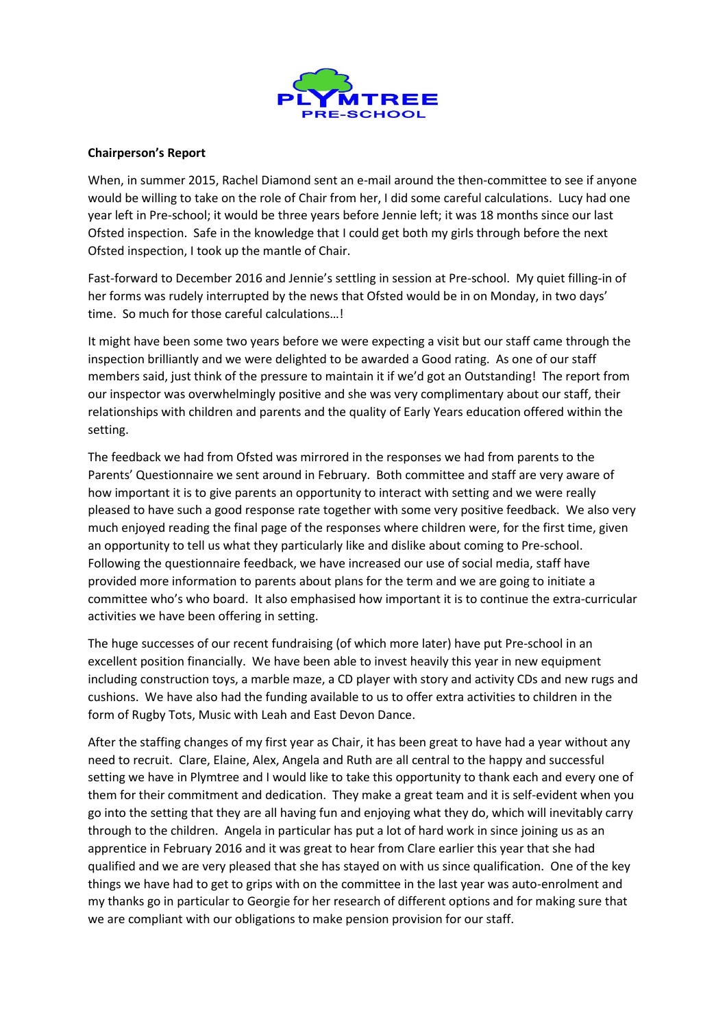

## **Chairperson's Report**

When, in summer 2015, Rachel Diamond sent an e-mail around the then-committee to see if anyone would be willing to take on the role of Chair from her, I did some careful calculations. Lucy had one year left in Pre-school; it would be three years before Jennie left; it was 18 months since our last Ofsted inspection. Safe in the knowledge that I could get both my girls through before the next Ofsted inspection, I took up the mantle of Chair.

Fast-forward to December 2016 and Jennie's settling in session at Pre-school. My quiet filling-in of her forms was rudely interrupted by the news that Ofsted would be in on Monday, in two days' time. So much for those careful calculations…!

It might have been some two years before we were expecting a visit but our staff came through the inspection brilliantly and we were delighted to be awarded a Good rating. As one of our staff members said, just think of the pressure to maintain it if we'd got an Outstanding! The report from our inspector was overwhelmingly positive and she was very complimentary about our staff, their relationships with children and parents and the quality of Early Years education offered within the setting.

The feedback we had from Ofsted was mirrored in the responses we had from parents to the Parents' Questionnaire we sent around in February. Both committee and staff are very aware of how important it is to give parents an opportunity to interact with setting and we were really pleased to have such a good response rate together with some very positive feedback. We also very much enjoyed reading the final page of the responses where children were, for the first time, given an opportunity to tell us what they particularly like and dislike about coming to Pre-school. Following the questionnaire feedback, we have increased our use of social media, staff have provided more information to parents about plans for the term and we are going to initiate a committee who's who board. It also emphasised how important it is to continue the extra-curricular activities we have been offering in setting.

The huge successes of our recent fundraising (of which more later) have put Pre-school in an excellent position financially. We have been able to invest heavily this year in new equipment including construction toys, a marble maze, a CD player with story and activity CDs and new rugs and cushions. We have also had the funding available to us to offer extra activities to children in the form of Rugby Tots, Music with Leah and East Devon Dance.

After the staffing changes of my first year as Chair, it has been great to have had a year without any need to recruit. Clare, Elaine, Alex, Angela and Ruth are all central to the happy and successful setting we have in Plymtree and I would like to take this opportunity to thank each and every one of them for their commitment and dedication. They make a great team and it is self-evident when you go into the setting that they are all having fun and enjoying what they do, which will inevitably carry through to the children. Angela in particular has put a lot of hard work in since joining us as an apprentice in February 2016 and it was great to hear from Clare earlier this year that she had qualified and we are very pleased that she has stayed on with us since qualification. One of the key things we have had to get to grips with on the committee in the last year was auto-enrolment and my thanks go in particular to Georgie for her research of different options and for making sure that we are compliant with our obligations to make pension provision for our staff.